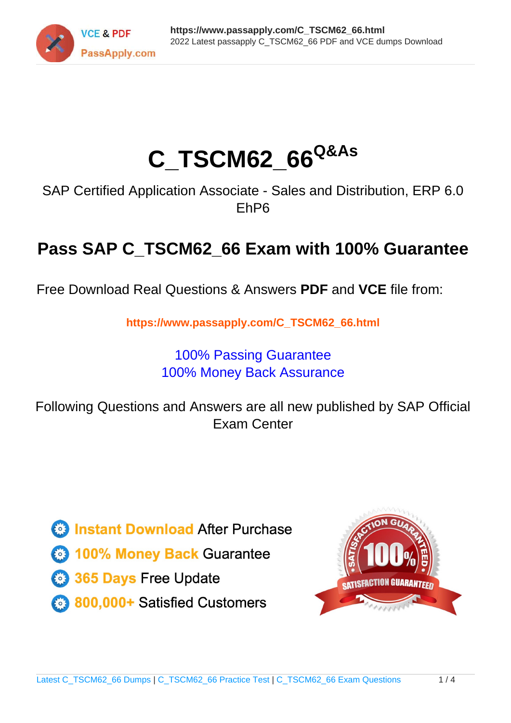

# **C\_TSCM62\_66Q&As**

SAP Certified Application Associate - Sales and Distribution, ERP 6.0 EhP6

## **Pass SAP C\_TSCM62\_66 Exam with 100% Guarantee**

Free Download Real Questions & Answers **PDF** and **VCE** file from:

**https://www.passapply.com/C\_TSCM62\_66.html**

### 100% Passing Guarantee 100% Money Back Assurance

Following Questions and Answers are all new published by SAP Official Exam Center

**Colonization** Download After Purchase

- **@ 100% Money Back Guarantee**
- **63 365 Days Free Update**
- 800,000+ Satisfied Customers

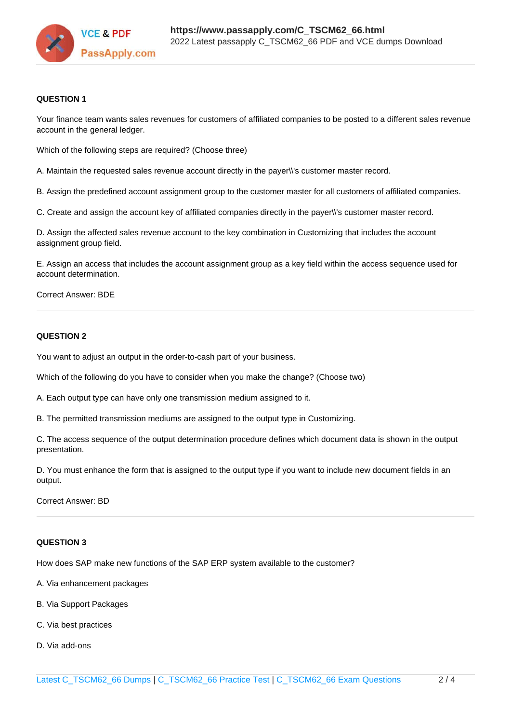

#### **QUESTION 1**

Your finance team wants sales revenues for customers of affiliated companies to be posted to a different sales revenue account in the general ledger.

Which of the following steps are required? (Choose three)

A. Maintain the requested sales revenue account directly in the payer\\'s customer master record.

B. Assign the predefined account assignment group to the customer master for all customers of affiliated companies.

C. Create and assign the account key of affiliated companies directly in the payer\\'s customer master record.

D. Assign the affected sales revenue account to the key combination in Customizing that includes the account assignment group field.

E. Assign an access that includes the account assignment group as a key field within the access sequence used for account determination.

#### Correct Answer: BDE

#### **QUESTION 2**

You want to adjust an output in the order-to-cash part of your business.

Which of the following do you have to consider when you make the change? (Choose two)

A. Each output type can have only one transmission medium assigned to it.

B. The permitted transmission mediums are assigned to the output type in Customizing.

C. The access sequence of the output determination procedure defines which document data is shown in the output presentation.

D. You must enhance the form that is assigned to the output type if you want to include new document fields in an output.

Correct Answer: BD

#### **QUESTION 3**

How does SAP make new functions of the SAP ERP system available to the customer?

- A. Via enhancement packages
- B. Via Support Packages
- C. Via best practices
- D. Via add-ons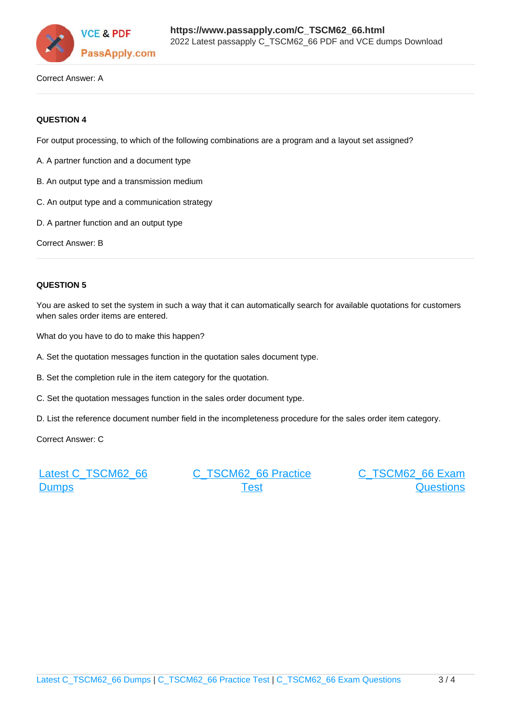

Correct Answer: A

#### **QUESTION 4**

For output processing, to which of the following combinations are a program and a layout set assigned?

- A. A partner function and a document type
- B. An output type and a transmission medium
- C. An output type and a communication strategy
- D. A partner function and an output type

Correct Answer: B

#### **QUESTION 5**

You are asked to set the system in such a way that it can automatically search for available quotations for customers when sales order items are entered.

What do you have to do to make this happen?

- A. Set the quotation messages function in the quotation sales document type.
- B. Set the completion rule in the item category for the quotation.
- C. Set the quotation messages function in the sales order document type.
- D. List the reference document number field in the incompleteness procedure for the sales order item category.

Correct Answer: C

[Latest C\\_TSCM62\\_66](https://www.passapply.com/C_TSCM62_66.html) **[Dumps](https://www.passapply.com/C_TSCM62_66.html)** 

[C\\_TSCM62\\_66 Practice](https://www.passapply.com/C_TSCM62_66.html) [Test](https://www.passapply.com/C_TSCM62_66.html)

[C\\_TSCM62\\_66 Exam](https://www.passapply.com/C_TSCM62_66.html) **[Questions](https://www.passapply.com/C_TSCM62_66.html)**